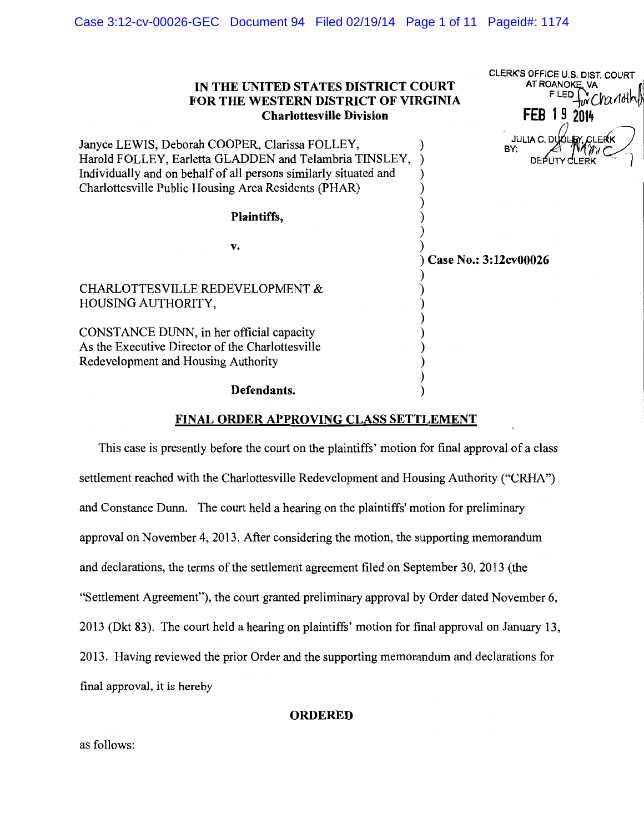| IN THE UNITED STATES DISTRICT COURT<br>FOR THE WESTERN DISTRICT OF VIRGINIA<br><b>Charlottesville Division</b>                                                                                                                       | CLERK'S OFFICE U.S. DIST. COURT<br>AT ROANOKE, VA<br><b>FILED</b><br>FEB 19 2014 |
|--------------------------------------------------------------------------------------------------------------------------------------------------------------------------------------------------------------------------------------|----------------------------------------------------------------------------------|
| Janyce LEWIS, Deborah COOPER, Clarissa FOLLEY,<br>Harold FOLLEY, Earletta GLADDEN and Telambria TINSLEY,<br>Individually and on behalf of all persons similarly situated and<br>Charlottesville Public Housing Area Residents (PHAR) | <b>JULIA C. DUOLEY, CLER</b><br>BY:<br><b>DEPUT</b>                              |
| Plaintiffs,                                                                                                                                                                                                                          |                                                                                  |
| v.                                                                                                                                                                                                                                   | Case No.: 3:12cv00026                                                            |
| <b>CHARLOTTESVILLE REDEVELOPMENT &amp;</b><br>HOUSING AUTHORITY,                                                                                                                                                                     |                                                                                  |
| CONSTANCE DUNN, in her official capacity<br>As the Executive Director of the Charlottesville<br>Redevelopment and Housing Authority                                                                                                  |                                                                                  |
| Defendants.                                                                                                                                                                                                                          |                                                                                  |

# FINAL ORDER APPROVING CLASS SETTLEMENT

This case is presently before the court on the plaintiffs' motion for final approval of a class settlement reached with the Charlottesville Redevelopment and Housing Authority ("CRHA") and Constance Dunn. The court held a hearing on the plaintiffs' motion for preliminary approval on November 4, 2013. After considering the motion, the supporting memorandum and declarations, the terms of the settlement agreement filed on September 30, 2013 (the "Settlement Agreement"), the court granted preliminary approval by Order dated November 6, 2013 (Dkt 83). The court held a hearing on plaintiffs' motion for final approval on January 13, 2013. Having reviewed the prior Order and the supporting memorandum and declarations for final approval, it is hereby

## **ORDERED**

as follows: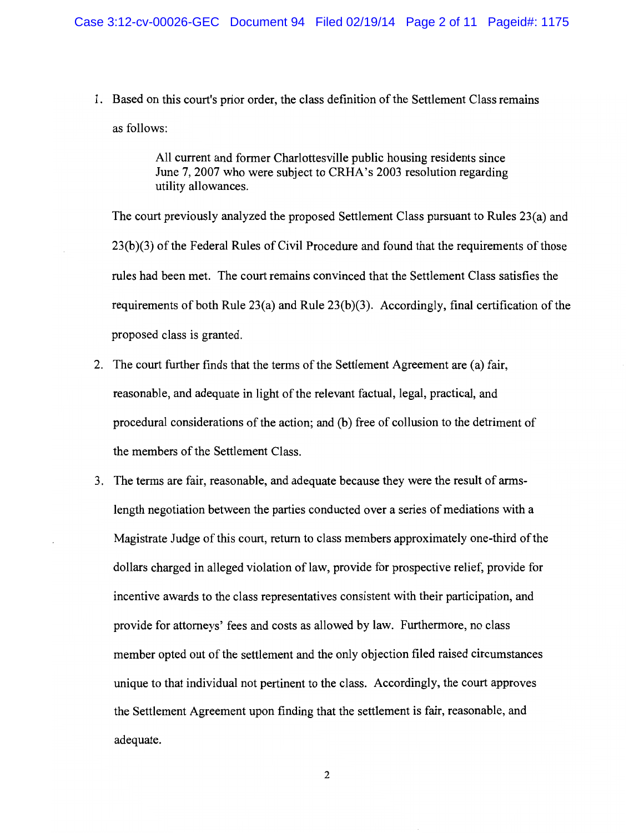1. Based on this court's prior order, the class definition of the Settlement Class remains as follows:

> All current and former Charlottesville public housing residents since June 7, 2007 who were subject to CRHA's 2003 resolution regarding utility allowances.

The court previously analyzed the proposed Settlement Class pursuant to Rules 23(a) and 23(b)(3) of the Federal Rules of Civil Procedure and found that the requirements of those rules had been met. The court remains convinced that the Settlement Class satisfies the requirements of both Rule  $23(a)$  and Rule  $23(b)(3)$ . Accordingly, final certification of the proposed class is granted.

- 2. The court further finds that the terms of the Settlement Agreement are (a) fair, reasonable, and adequate in light of the relevant factual, legal, practical, and procedural considerations of the action; and (b) free of collusion to the detriment of the members of the Settlement Class.
- 3. The terms are fair, reasonable, and adequate because they were the result of armslength negotiation between the parties conducted over a series of mediations with a Magistrate Judge of this court, return to class members approximately one-third of the dollars charged in alleged violation of law, provide for prospective relief, provide for incentive awards to the class representatives consistent with their participation, and provide for attorneys' fees and costs as allowed by law. Furthermore, no class member opted out of the settlement and the only objection filed raised circumstances unique to that individual not pertinent to the class. Accordingly, the court approves the Settlement Agreement upon finding that the settlement is fair, reasonable, and adequate.

 $\overline{2}$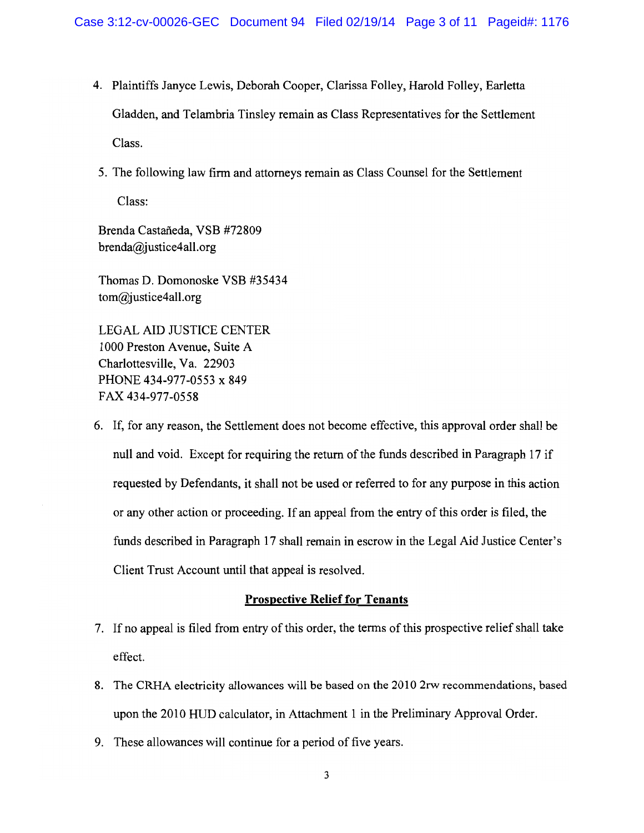- 4. Plaintiffs Janyce Lewis, Deborah Cooper, Clarissa Folley, Harold Folley, Earletta Gladden, and Telambria Tinsley remain as Class Representatives for the Settlement Class.
- 5. The following law firm and attorneys remain as Class Counsel for the Settlement Class:

Brenda Castañeda, VSB #72809  $brenda@justice4all.org$ 

Thomas D. Domonoske VSB #35434  $tom@iustice4all.org$ 

**LEGAL AID JUSTICE CENTER** 1000 Preston Avenue, Suite A Charlottesville, Va. 22903 PHONE 434-977-0553 x 849 FAX 434-977-0558

6. If, for any reason, the Settlement does not become effective, this approval order shall be null and void. Except for requiring the return of the funds described in Paragraph 17 if requested by Defendants, it shall not be used or referred to for any purpose in this action or any other action or proceeding. If an appeal from the entry of this order is filed, the funds described in Paragraph 17 shall remain in escrow in the Legal Aid Justice Center's Client Trust Account until that appeal is resolved.

# **Prospective Relief for Tenants**

- 7. If no appeal is filed from entry of this order, the terms of this prospective relief shall take effect.
- 8. The CRHA electricity allowances will be based on the 2010 2rw recommendations, based upon the 2010 HUD calculator, in Attachment 1 in the Preliminary Approval Order.
- 9. These allowances will continue for a period of five years.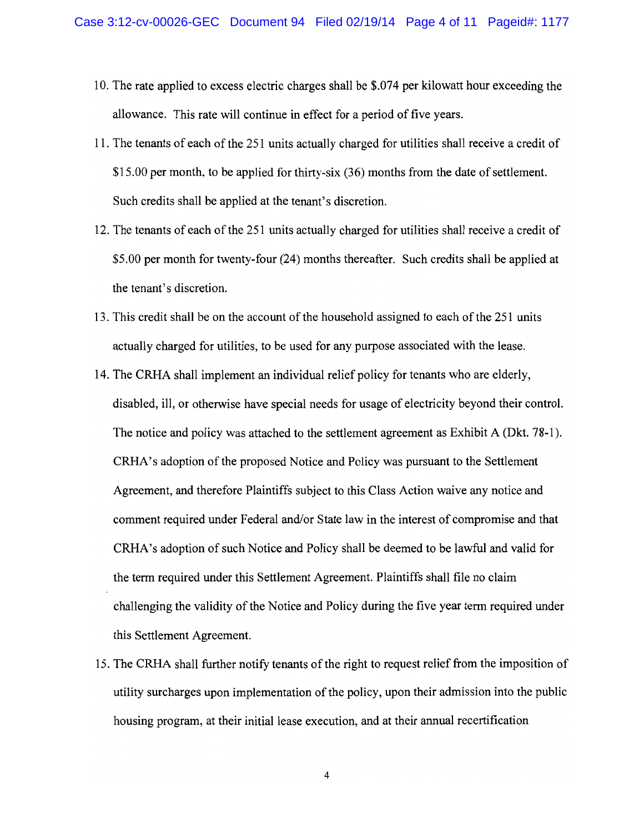- 10. The rate applied to excess electric charges shall be \$.074 per kilowatt hour exceeding the allowance. This rate will continue in effect for a period of five years.
- 11. The tenants of each of the 251 units actually charged for utilities shall receive a credit of \$15.00 per month, to be applied for thirty-six (36) months from the date of settlement. Such credits shall be applied at the tenant's discretion.
- 12. The tenants of each of the 251 units actually charged for utilities shall receive a credit of \$5.00 per month for twenty-four (24) months thereafter. Such credits shall be applied at the tenant's discretion.
- 13. This credit shall be on the account of the household assigned to each of the 251 units actually charged for utilities, to be used for any purpose associated with the lease.
- 14. The CRHA shall implement an individual relief policy for tenants who are elderly, disabled, ill, or otherwise have special needs for usage of electricity beyond their control. The notice and policy was attached to the settlement agreement as Exhibit A (Dkt. 78-1). CRHA's adoption of the proposed Notice and Policy was pursuant to the Settlement Agreement, and therefore Plaintiffs subject to this Class Action waive any notice and comment required under Federal and/or State law in the interest of compromise and that CRHA's adoption of such Notice and Policy shall be deemed to be lawful and valid for the term required under this Settlement Agreement. Plaintiffs shall file no claim challenging the validity of the Notice and Policy during the five year term required under this Settlement Agreement.
- 15. The CRHA shall further notify tenants of the right to request relief from the imposition of utility surcharges upon implementation of the policy, upon their admission into the public housing program, at their initial lease execution, and at their annual recertification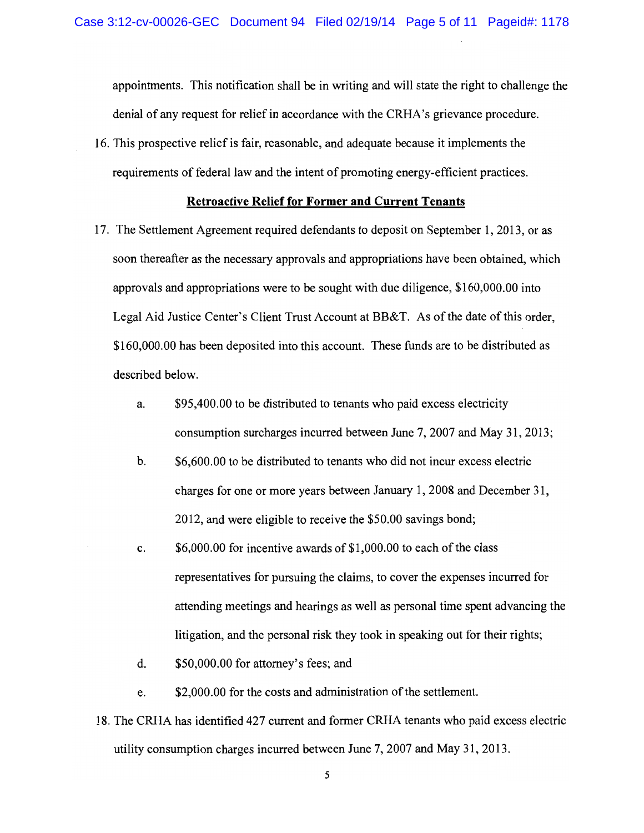appointments. This notification shall be in writing and will state the right to challenge the denial of any request for relief in accordance with the CRHA's grievance procedure.

16. This prospective relief is fair, reasonable, and adequate because it implements the requirements of federal law and the intent of promoting energy-efficient practices.

### **Retroactive Relief for Former and Current Tenants**

- 17. The Settlement Agreement required defendants to deposit on September 1, 2013, or as soon thereafter as the necessary approvals and appropriations have been obtained, which approvals and appropriations were to be sought with due diligence, \$160,000.00 into Legal Aid Justice Center's Client Trust Account at BB&T. As of the date of this order, \$160,000.00 has been deposited into this account. These funds are to be distributed as described below.
	- \$95,400.00 to be distributed to tenants who paid excess electricity a. consumption surcharges incurred between June 7, 2007 and May 31, 2013;
	- $<sub>b</sub>$ .</sub> \$6,600.00 to be distributed to tenants who did not incur excess electric charges for one or more years between January 1, 2008 and December 31, 2012, and were eligible to receive the \$50.00 savings bond;
	- c.  $$6,000.00$  for incentive awards of  $$1,000.00$  to each of the class representatives for pursuing the claims, to cover the expenses incurred for attending meetings and hearings as well as personal time spent advancing the litigation, and the personal risk they took in speaking out for their rights;
	- d. \$50,000.00 for attorney's fees; and
	- \$2,000.00 for the costs and administration of the settlement. e.
- 18. The CRHA has identified 427 current and former CRHA tenants who paid excess electric utility consumption charges incurred between June 7, 2007 and May 31, 2013.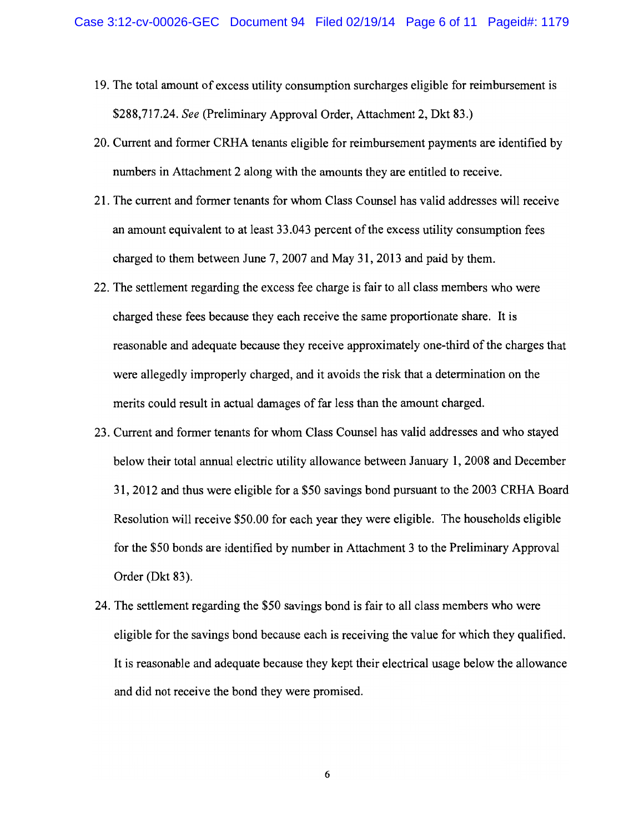- 19. The total amount of excess utility consumption surcharges eligible for reimbursement is \$288,717.24. See (Preliminary Approval Order, Attachment 2, Dkt 83.)
- 20. Current and former CRHA tenants eligible for reimbursement payments are identified by numbers in Attachment 2 along with the amounts they are entitled to receive.
- 21. The current and former tenants for whom Class Counsel has valid addresses will receive an amount equivalent to at least 33.043 percent of the excess utility consumption fees charged to them between June 7, 2007 and May 31, 2013 and paid by them.
- 22. The settlement regarding the excess fee charge is fair to all class members who were charged these fees because they each receive the same proportionate share. It is reasonable and adequate because they receive approximately one-third of the charges that were allegedly improperly charged, and it avoids the risk that a determination on the merits could result in actual damages of far less than the amount charged.
- 23. Current and former tenants for whom Class Counsel has valid addresses and who stayed below their total annual electric utility allowance between January 1, 2008 and December 31, 2012 and thus were eligible for a \$50 savings bond pursuant to the 2003 CRHA Board Resolution will receive \$50.00 for each year they were eligible. The households eligible for the \$50 bonds are identified by number in Attachment 3 to the Preliminary Approval Order (Dkt 83).
- 24. The settlement regarding the \$50 savings bond is fair to all class members who were eligible for the savings bond because each is receiving the value for which they qualified. It is reasonable and adequate because they kept their electrical usage below the allowance and did not receive the bond they were promised.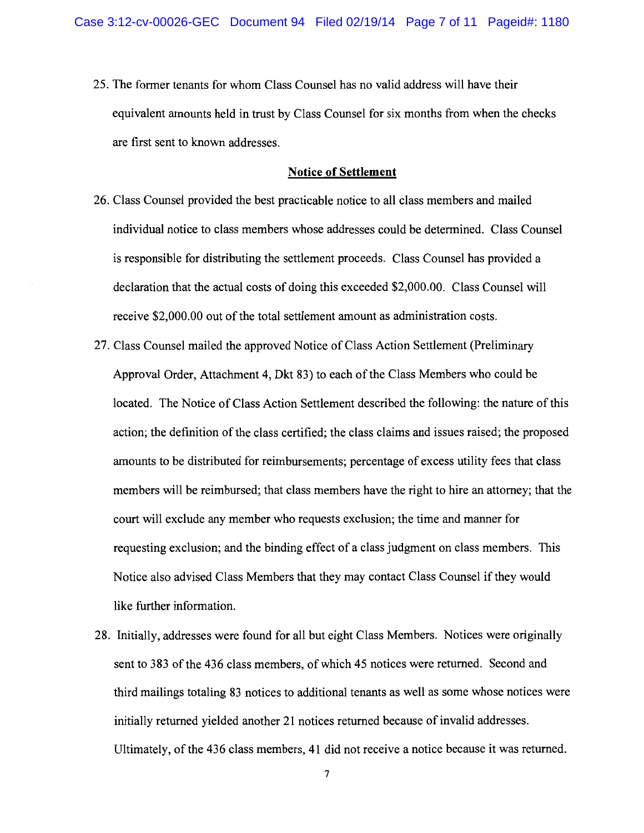25. The former tenants for whom Class Counsel has no valid address will have their equivalent amounts held in trust by Class Counsel for six months from when the checks are first sent to known addresses.

### **Notice of Settlement**

- 26. Class Counsel provided the best practicable notice to all class members and mailed individual notice to class members whose addresses could be determined. Class Counsel is responsible for distributing the settlement proceeds. Class Counsel has provided a declaration that the actual costs of doing this exceeded \$2,000.00. Class Counsel will receive \$2,000.00 out of the total settlement amount as administration costs.
- 27. Class Counsel mailed the approved Notice of Class Action Settlement (Preliminary Approval Order, Attachment 4, Dkt 83) to each of the Class Members who could be located. The Notice of Class Action Settlement described the following: the nature of this action; the definition of the class certified; the class claims and issues raised; the proposed amounts to be distributed for reimbursements; percentage of excess utility fees that class members will be reimbursed; that class members have the right to hire an attorney; that the court will exclude any member who requests exclusion; the time and manner for requesting exclusion; and the binding effect of a class judgment on class members. This Notice also advised Class Members that they may contact Class Counsel if they would like further information.
- 28. Initially, addresses were found for all but eight Class Members. Notices were originally sent to 383 of the 436 class members, of which 45 notices were returned. Second and third mailings totaling 83 notices to additional tenants as well as some whose notices were initially returned yielded another 21 notices returned because of invalid addresses. Ultimately, of the 436 class members, 41 did not receive a notice because it was returned.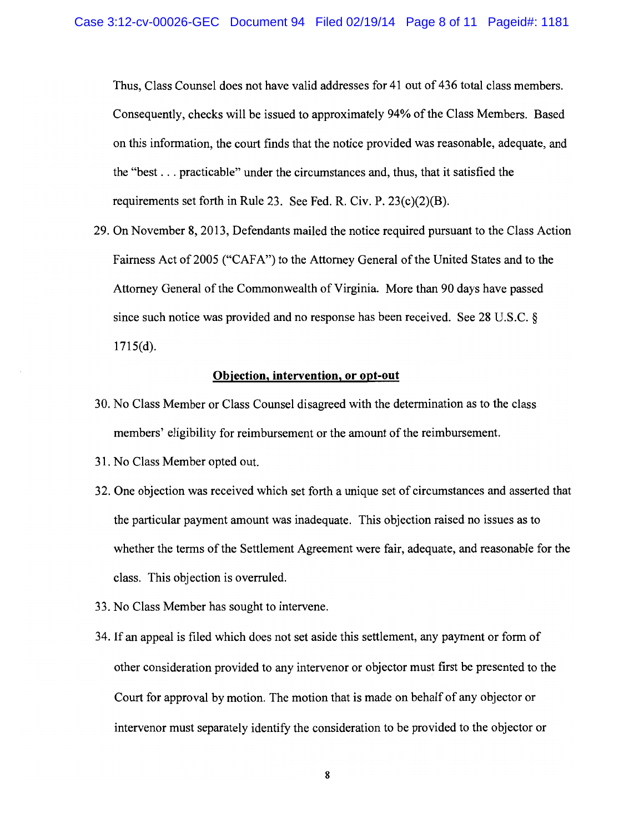Thus, Class Counsel does not have valid addresses for 41 out of 436 total class members. Consequently, checks will be issued to approximately 94% of the Class Members. Based on this information, the court finds that the notice provided was reasonable, adequate, and the "best... practicable" under the circumstances and, thus, that it satisfied the requirements set forth in Rule 23. See Fed. R. Civ. P.  $23(c)(2)(B)$ .

29. On November 8, 2013, Defendants mailed the notice required pursuant to the Class Action Fairness Act of 2005 ("CAFA") to the Attorney General of the United States and to the Attorney General of the Commonwealth of Virginia. More than 90 days have passed since such notice was provided and no response has been received. See 28 U.S.C.  $\S$  $1715(d)$ .

## Objection, intervention, or opt-out

- 30. No Class Member or Class Counsel disagreed with the determination as to the class members' eligibility for reimbursement or the amount of the reimbursement.
- 31. No Class Member opted out.
- 32. One objection was received which set forth a unique set of circumstances and asserted that the particular payment amount was inadequate. This objection raised no issues as to whether the terms of the Settlement Agreement were fair, adequate, and reasonable for the class. This objection is overruled.
- 33. No Class Member has sought to intervene.
- 34. If an appeal is filed which does not set aside this settlement, any payment or form of other consideration provided to any intervenor or objector must first be presented to the Court for approval by motion. The motion that is made on behalf of any objector or intervenor must separately identify the consideration to be provided to the objector or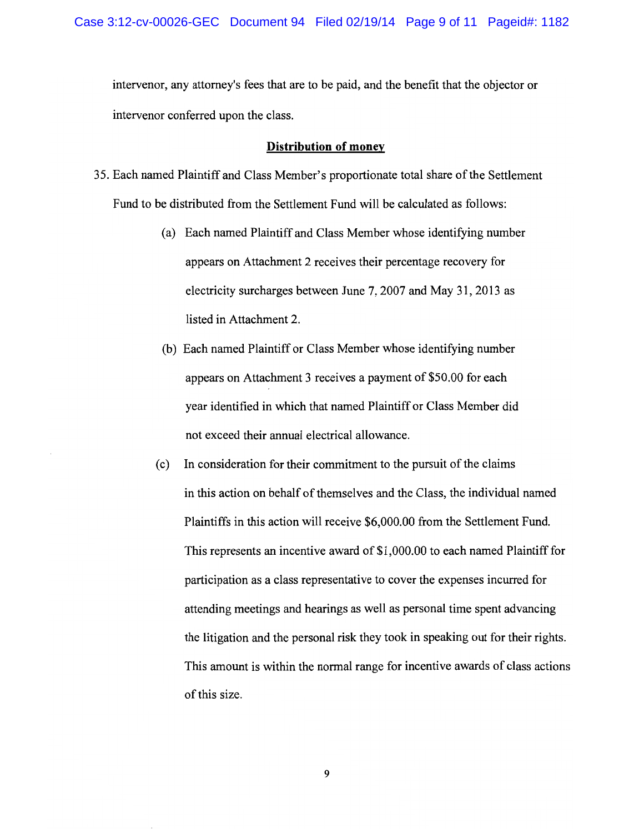intervenor, any attorney's fees that are to be paid, and the benefit that the objector or intervenor conferred upon the class.

## **Distribution of money**

- 35. Each named Plaintiff and Class Member's proportionate total share of the Settlement Fund to be distributed from the Settlement Fund will be calculated as follows:
	- (a) Each named Plaintiff and Class Member whose identifying number appears on Attachment 2 receives their percentage recovery for electricity surcharges between June 7, 2007 and May 31, 2013 as listed in Attachment 2.
	- (b) Each named Plaintiff or Class Member whose identifying number appears on Attachment 3 receives a payment of \$50.00 for each year identified in which that named Plaintiff or Class Member did not exceed their annual electrical allowance.
	- In consideration for their commitment to the pursuit of the claims  $(c)$ in this action on behalf of themselves and the Class, the individual named Plaintiffs in this action will receive \$6,000.00 from the Settlement Fund. This represents an incentive award of \$1,000.00 to each named Plaintiff for participation as a class representative to cover the expenses incurred for attending meetings and hearings as well as personal time spent advancing the litigation and the personal risk they took in speaking out for their rights. This amount is within the normal range for incentive awards of class actions of this size.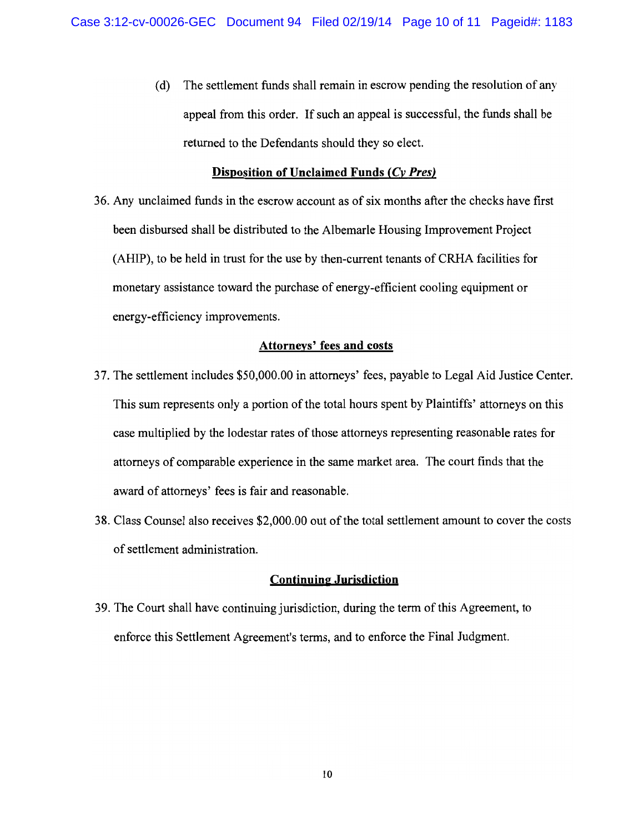(d) The settlement funds shall remain in escrow pending the resolution of any appeal from this order. If such an appeal is successful, the funds shall be returned to the Defendants should they so elect.

# Disposition of Unclaimed Funds (Cy Pres)

36. Any unclaimed funds in the escrow account as of six months after the checks have first been disbursed shall be distributed to the Albemarle Housing Improvement Project (AHIP), to be held in trust for the use by then-current tenants of CRHA facilities for monetary assistance toward the purchase of energy-efficient cooling equipment or energy-efficiency improvements.

# **Attorneys' fees and costs**

- 37. The settlement includes \$50,000.00 in attorneys' fees, payable to Legal Aid Justice Center. This sum represents only a portion of the total hours spent by Plaintiffs' attorneys on this case multiplied by the lodestar rates of those attorneys representing reasonable rates for attorneys of comparable experience in the same market area. The court finds that the award of attorneys' fees is fair and reasonable.
- 38. Class Counsel also receives \$2,000.00 out of the total settlement amount to cover the costs of settlement administration.

## **Continuing Jurisdiction**

39. The Court shall have continuing jurisdiction, during the term of this Agreement, to enforce this Settlement Agreement's terms, and to enforce the Final Judgment.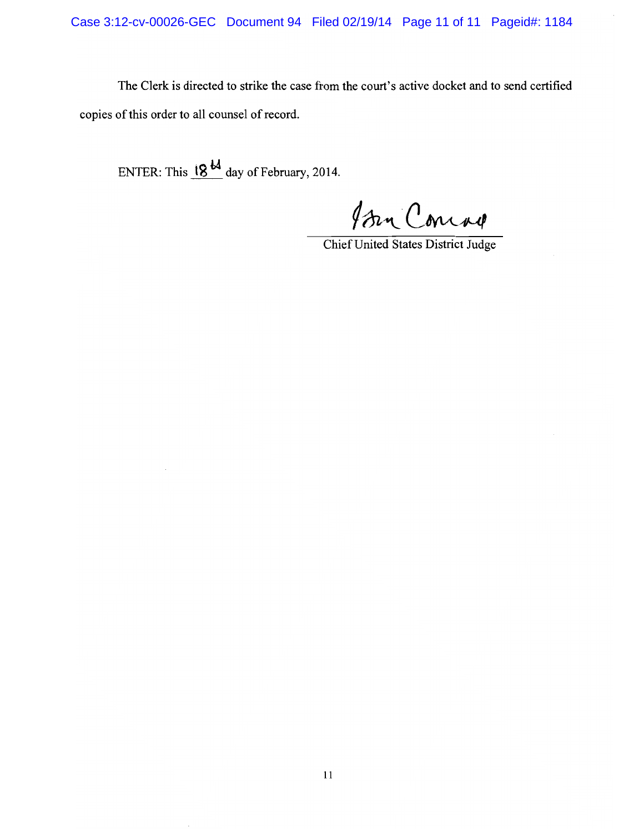The Clerk is directed to strike the case from the court's active docket and to send certified copies of this order to all counsel of record.

ENTER: This  $18 \frac{18}{10}$  day of February, 2014.

Isen Concar

Chief United States District Judge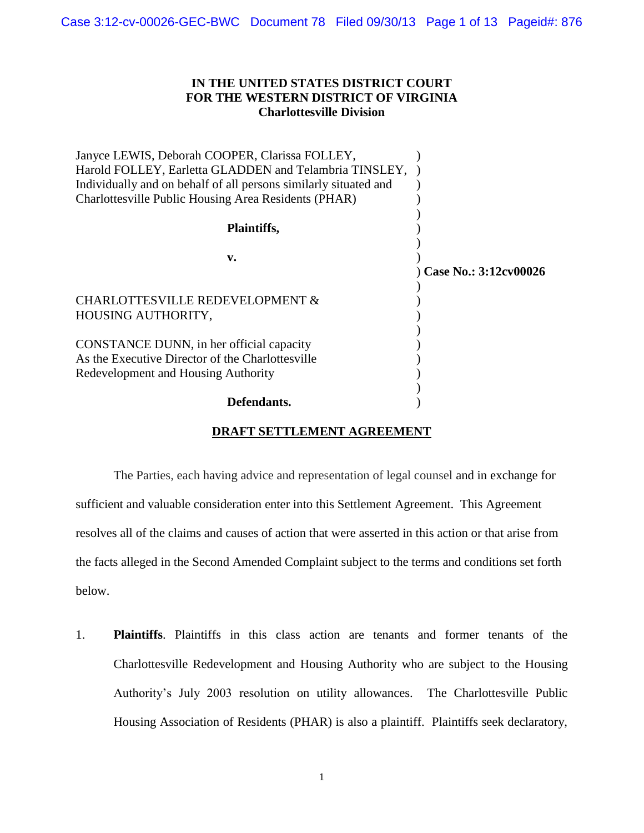# **IN THE UNITED STATES DISTRICT COURT FOR THE WESTERN DISTRICT OF VIRGINIA Charlottesville Division**

| Janyce LEWIS, Deborah COOPER, Clarissa FOLLEY,                   |                       |
|------------------------------------------------------------------|-----------------------|
| Harold FOLLEY, Earletta GLADDEN and Telambria TINSLEY,           |                       |
| Individually and on behalf of all persons similarly situated and |                       |
| Charlottesville Public Housing Area Residents (PHAR)             |                       |
|                                                                  |                       |
| Plaintiffs,                                                      |                       |
|                                                                  |                       |
| v.                                                               |                       |
|                                                                  | Case No.: 3:12cv00026 |
|                                                                  |                       |
| CHARLOTTESVILLE REDEVELOPMENT &                                  |                       |
| HOUSING AUTHORITY,                                               |                       |
|                                                                  |                       |
| CONSTANCE DUNN, in her official capacity                         |                       |
| As the Executive Director of the Charlottesville                 |                       |
| Redevelopment and Housing Authority                              |                       |
|                                                                  |                       |
| Defendants.                                                      |                       |

# **DRAFT SETTLEMENT AGREEMENT**

The Parties, each having advice and representation of legal counsel and in exchange for sufficient and valuable consideration enter into this Settlement Agreement. This Agreement resolves all of the claims and causes of action that were asserted in this action or that arise from the facts alleged in the Second Amended Complaint subject to the terms and conditions set forth below.

1. **Plaintiffs**. Plaintiffs in this class action are tenants and former tenants of the Charlottesville Redevelopment and Housing Authority who are subject to the Housing Authority's July 2003 resolution on utility allowances. The Charlottesville Public Housing Association of Residents (PHAR) is also a plaintiff. Plaintiffs seek declaratory,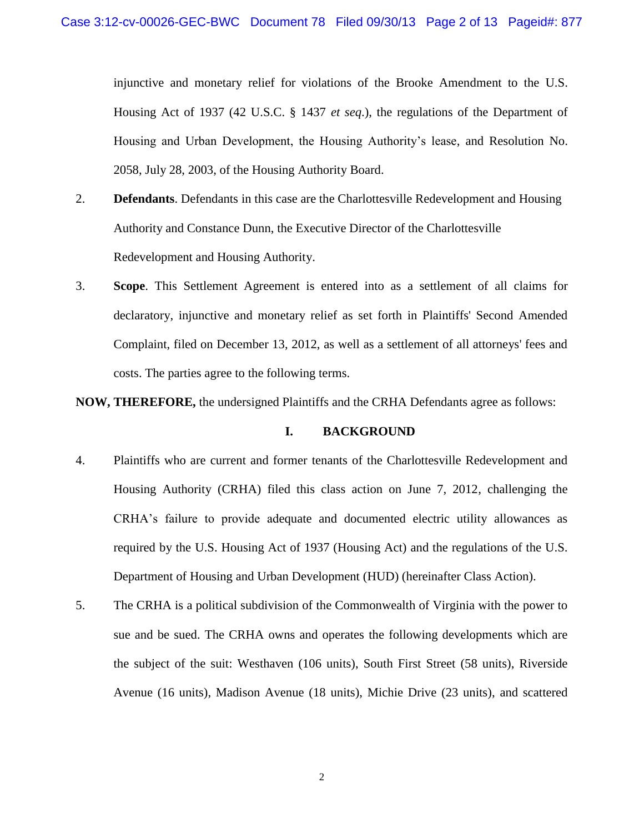injunctive and monetary relief for violations of the Brooke Amendment to the U.S. Housing Act of 1937 (42 U.S.C. § 1437 *et seq*.), the regulations of the Department of Housing and Urban Development, the Housing Authority's lease, and Resolution No. 2058, July 28, 2003, of the Housing Authority Board.

- 2. **Defendants**. Defendants in this case are the Charlottesville Redevelopment and Housing Authority and Constance Dunn, the Executive Director of the Charlottesville Redevelopment and Housing Authority.
- 3. **Scope**. This Settlement Agreement is entered into as a settlement of all claims for declaratory, injunctive and monetary relief as set forth in Plaintiffs' Second Amended Complaint, filed on December 13, 2012, as well as a settlement of all attorneys' fees and costs. The parties agree to the following terms.

**NOW, THEREFORE,** the undersigned Plaintiffs and the CRHA Defendants agree as follows:

## **I. BACKGROUND**

- 4. Plaintiffs who are current and former tenants of the Charlottesville Redevelopment and Housing Authority (CRHA) filed this class action on June 7, 2012, challenging the CRHA's failure to provide adequate and documented electric utility allowances as required by the U.S. Housing Act of 1937 (Housing Act) and the regulations of the U.S. Department of Housing and Urban Development (HUD) (hereinafter Class Action).
- 5. The CRHA is a political subdivision of the Commonwealth of Virginia with the power to sue and be sued. The CRHA owns and operates the following developments which are the subject of the suit: Westhaven (106 units), South First Street (58 units), Riverside Avenue (16 units), Madison Avenue (18 units), Michie Drive (23 units), and scattered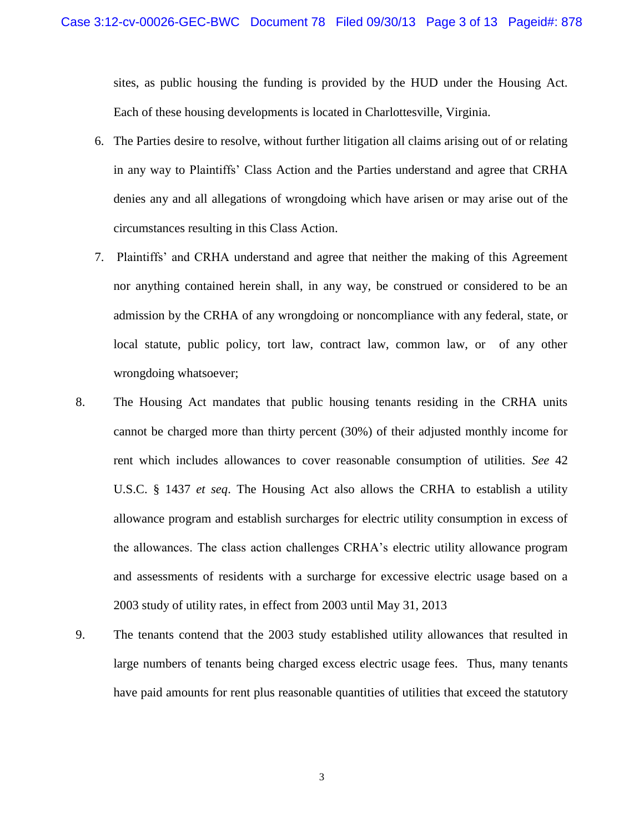sites, as public housing the funding is provided by the HUD under the Housing Act. Each of these housing developments is located in Charlottesville, Virginia.

- 6. The Parties desire to resolve, without further litigation all claims arising out of or relating in any way to Plaintiffs' Class Action and the Parties understand and agree that CRHA denies any and all allegations of wrongdoing which have arisen or may arise out of the circumstances resulting in this Class Action.
- 7. Plaintiffs' and CRHA understand and agree that neither the making of this Agreement nor anything contained herein shall, in any way, be construed or considered to be an admission by the CRHA of any wrongdoing or noncompliance with any federal, state, or local statute, public policy, tort law, contract law, common law, or of any other wrongdoing whatsoever;
- 8. The Housing Act mandates that public housing tenants residing in the CRHA units cannot be charged more than thirty percent (30%) of their adjusted monthly income for rent which includes allowances to cover reasonable consumption of utilities. *See* 42 U.S.C. § 1437 *et seq*. The Housing Act also allows the CRHA to establish a utility allowance program and establish surcharges for electric utility consumption in excess of the allowances. The class action challenges CRHA's electric utility allowance program and assessments of residents with a surcharge for excessive electric usage based on a 2003 study of utility rates, in effect from 2003 until May 31, 2013
- 9. The tenants contend that the 2003 study established utility allowances that resulted in large numbers of tenants being charged excess electric usage fees. Thus, many tenants have paid amounts for rent plus reasonable quantities of utilities that exceed the statutory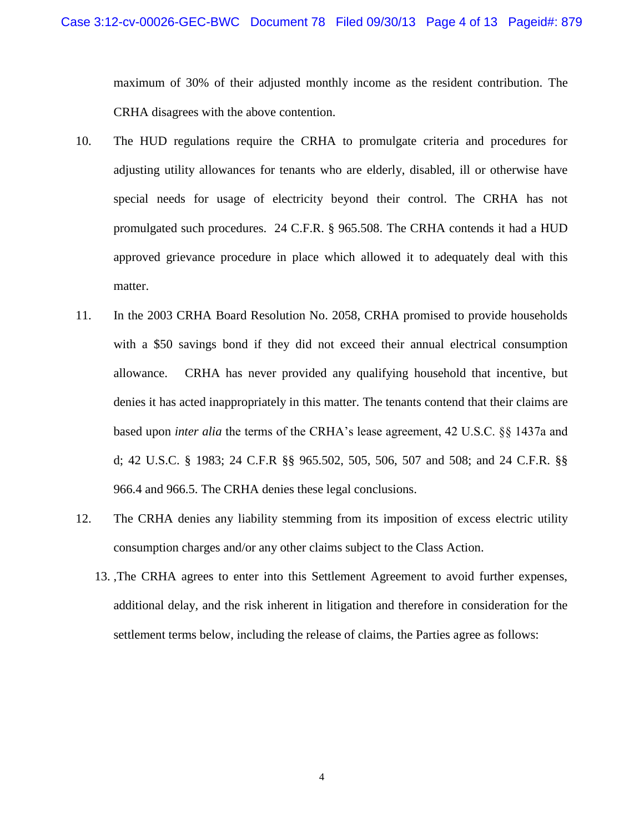maximum of 30% of their adjusted monthly income as the resident contribution. The CRHA disagrees with the above contention.

- 10. The HUD regulations require the CRHA to promulgate criteria and procedures for adjusting utility allowances for tenants who are elderly, disabled, ill or otherwise have special needs for usage of electricity beyond their control. The CRHA has not promulgated such procedures. 24 C.F.R. § 965.508. The CRHA contends it had a HUD approved grievance procedure in place which allowed it to adequately deal with this matter.
- 11. In the 2003 CRHA Board Resolution No. 2058, CRHA promised to provide households with a \$50 savings bond if they did not exceed their annual electrical consumption allowance. CRHA has never provided any qualifying household that incentive, but denies it has acted inappropriately in this matter. The tenants contend that their claims are based upon *inter alia* the terms of the CRHA's lease agreement, 42 U.S.C. §§ 1437a and d; 42 U.S.C. § 1983; 24 C.F.R §§ 965.502, 505, 506, 507 and 508; and 24 C.F.R. §§ 966.4 and 966.5. The CRHA denies these legal conclusions.
- 12. The CRHA denies any liability stemming from its imposition of excess electric utility consumption charges and/or any other claims subject to the Class Action.
	- 13. ,The CRHA agrees to enter into this Settlement Agreement to avoid further expenses, additional delay, and the risk inherent in litigation and therefore in consideration for the settlement terms below, including the release of claims, the Parties agree as follows: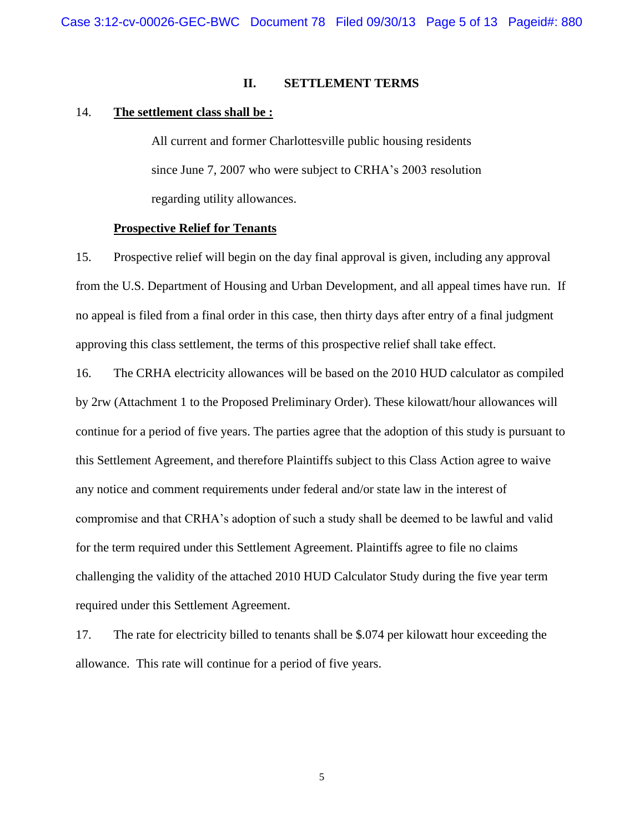### **II. SETTLEMENT TERMS**

### 14. **The settlement class shall be :**

All current and former Charlottesville public housing residents since June 7, 2007 who were subject to CRHA's 2003 resolution regarding utility allowances.

## **Prospective Relief for Tenants**

15. Prospective relief will begin on the day final approval is given, including any approval from the U.S. Department of Housing and Urban Development, and all appeal times have run. If no appeal is filed from a final order in this case, then thirty days after entry of a final judgment approving this class settlement, the terms of this prospective relief shall take effect.

16. The CRHA electricity allowances will be based on the 2010 HUD calculator as compiled by 2rw (Attachment 1 to the Proposed Preliminary Order). These kilowatt/hour allowances will continue for a period of five years. The parties agree that the adoption of this study is pursuant to this Settlement Agreement, and therefore Plaintiffs subject to this Class Action agree to waive any notice and comment requirements under federal and/or state law in the interest of compromise and that CRHA's adoption of such a study shall be deemed to be lawful and valid for the term required under this Settlement Agreement. Plaintiffs agree to file no claims challenging the validity of the attached 2010 HUD Calculator Study during the five year term required under this Settlement Agreement.

17. The rate for electricity billed to tenants shall be \$.074 per kilowatt hour exceeding the allowance. This rate will continue for a period of five years.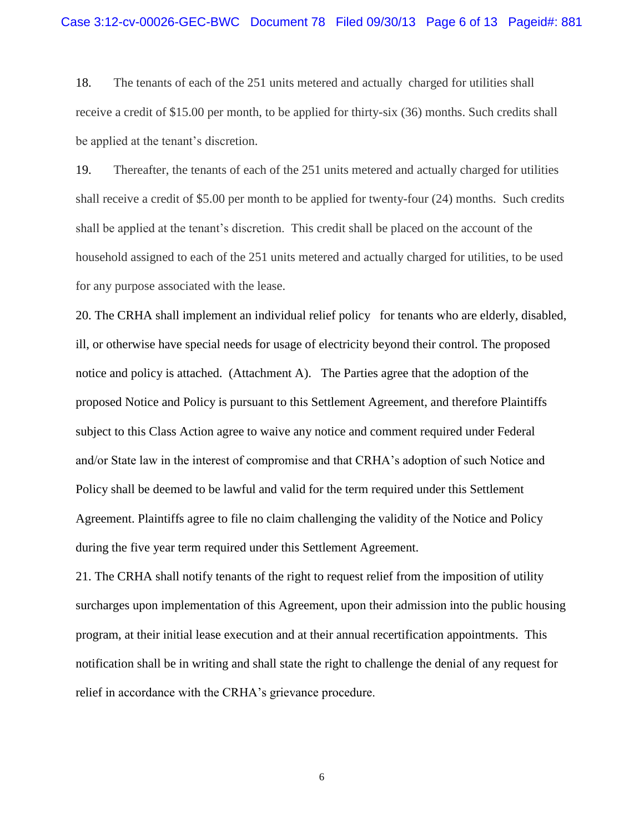18. The tenants of each of the 251 units metered and actually charged for utilities shall receive a credit of \$15.00 per month, to be applied for thirty-six (36) months. Such credits shall be applied at the tenant's discretion.

19. Thereafter, the tenants of each of the 251 units metered and actually charged for utilities shall receive a credit of \$5.00 per month to be applied for twenty-four (24) months. Such credits shall be applied at the tenant's discretion. This credit shall be placed on the account of the household assigned to each of the 251 units metered and actually charged for utilities, to be used for any purpose associated with the lease.

20. The CRHA shall implement an individual relief policy for tenants who are elderly, disabled, ill, or otherwise have special needs for usage of electricity beyond their control. The proposed notice and policy is attached. (Attachment A). The Parties agree that the adoption of the proposed Notice and Policy is pursuant to this Settlement Agreement, and therefore Plaintiffs subject to this Class Action agree to waive any notice and comment required under Federal and/or State law in the interest of compromise and that CRHA's adoption of such Notice and Policy shall be deemed to be lawful and valid for the term required under this Settlement Agreement. Plaintiffs agree to file no claim challenging the validity of the Notice and Policy during the five year term required under this Settlement Agreement.

21. The CRHA shall notify tenants of the right to request relief from the imposition of utility surcharges upon implementation of this Agreement, upon their admission into the public housing program, at their initial lease execution and at their annual recertification appointments. This notification shall be in writing and shall state the right to challenge the denial of any request for relief in accordance with the CRHA's grievance procedure.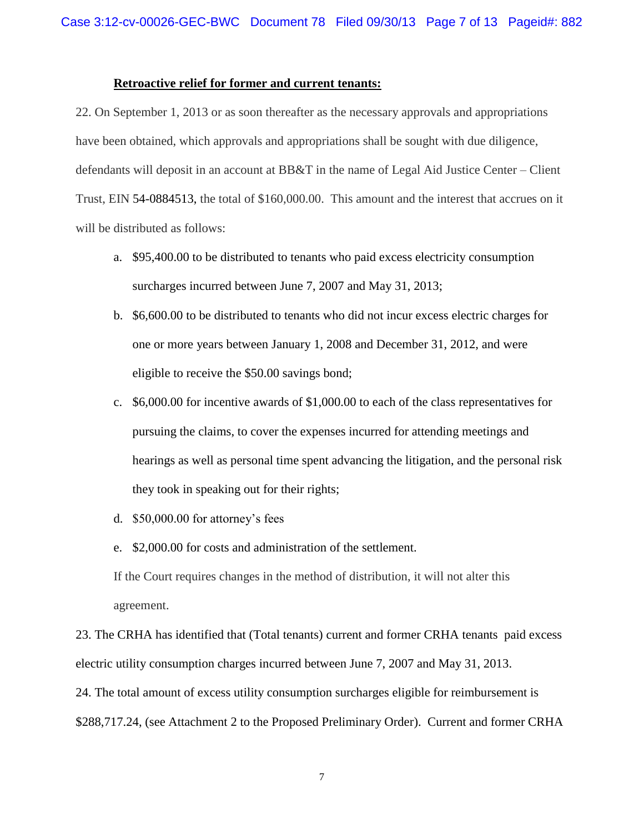## **Retroactive relief for former and current tenants:**

22. On September 1, 2013 or as soon thereafter as the necessary approvals and appropriations have been obtained, which approvals and appropriations shall be sought with due diligence, defendants will deposit in an account at BB&T in the name of Legal Aid Justice Center – Client Trust, EIN 54-0884513, the total of \$160,000.00. This amount and the interest that accrues on it will be distributed as follows:

- a. \$95,400.00 to be distributed to tenants who paid excess electricity consumption surcharges incurred between June 7, 2007 and May 31, 2013;
- b. \$6,600.00 to be distributed to tenants who did not incur excess electric charges for one or more years between January 1, 2008 and December 31, 2012, and were eligible to receive the \$50.00 savings bond;
- c. \$6,000.00 for incentive awards of \$1,000.00 to each of the class representatives for pursuing the claims, to cover the expenses incurred for attending meetings and hearings as well as personal time spent advancing the litigation, and the personal risk they took in speaking out for their rights;
- d. \$50,000.00 for attorney's fees
- e. \$2,000.00 for costs and administration of the settlement.

If the Court requires changes in the method of distribution, it will not alter this agreement.

23. The CRHA has identified that (Total tenants) current and former CRHA tenants paid excess electric utility consumption charges incurred between June 7, 2007 and May 31, 2013. 24. The total amount of excess utility consumption surcharges eligible for reimbursement is

\$288,717.24, (see Attachment 2 to the Proposed Preliminary Order). Current and former CRHA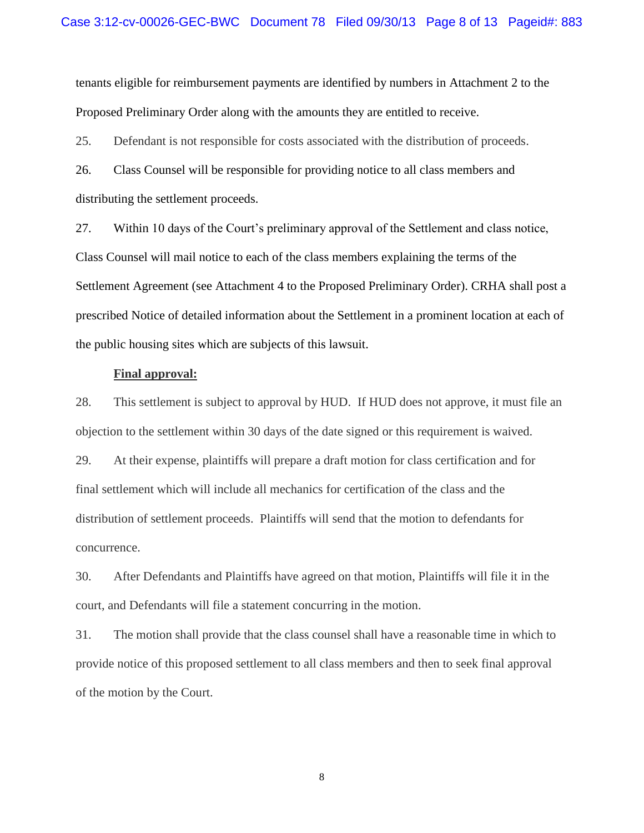tenants eligible for reimbursement payments are identified by numbers in Attachment 2 to the Proposed Preliminary Order along with the amounts they are entitled to receive.

25. Defendant is not responsible for costs associated with the distribution of proceeds.

26. Class Counsel will be responsible for providing notice to all class members and distributing the settlement proceeds.

27. Within 10 days of the Court's preliminary approval of the Settlement and class notice, Class Counsel will mail notice to each of the class members explaining the terms of the Settlement Agreement (see Attachment 4 to the Proposed Preliminary Order). CRHA shall post a prescribed Notice of detailed information about the Settlement in a prominent location at each of the public housing sites which are subjects of this lawsuit.

### **Final approval:**

28. This settlement is subject to approval by HUD. If HUD does not approve, it must file an objection to the settlement within 30 days of the date signed or this requirement is waived.

29. At their expense, plaintiffs will prepare a draft motion for class certification and for final settlement which will include all mechanics for certification of the class and the distribution of settlement proceeds. Plaintiffs will send that the motion to defendants for concurrence.

30. After Defendants and Plaintiffs have agreed on that motion, Plaintiffs will file it in the court, and Defendants will file a statement concurring in the motion.

31. The motion shall provide that the class counsel shall have a reasonable time in which to provide notice of this proposed settlement to all class members and then to seek final approval of the motion by the Court.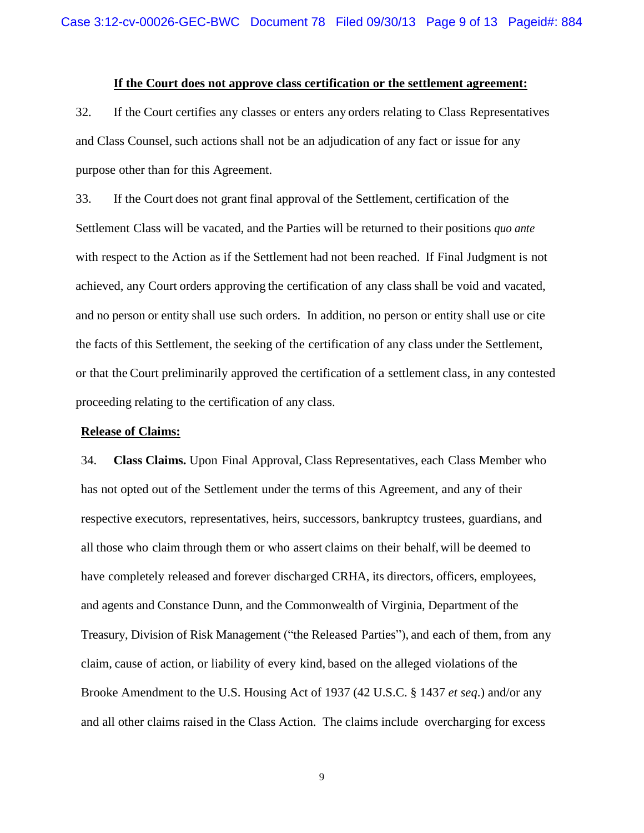## **If the Court does not approve class certification or the settlement agreement:**

32. If the Court certifies any classes or enters any orders relating to Class Representatives and Class Counsel, such actions shall not be an adjudication of any fact or issue for any purpose other than for this Agreement.

33. If the Court does not grant final approval of the Settlement, certification of the Settlement Class will be vacated, and the Parties will be returned to their positions *quo ante* with respect to the Action as if the Settlement had not been reached. If Final Judgment is not achieved, any Court orders approving the certification of any class shall be void and vacated, and no person or entity shall use such orders. In addition, no person or entity shall use or cite the facts of this Settlement, the seeking of the certification of any class under the Settlement, or that the Court preliminarily approved the certification of a settlement class, in any contested proceeding relating to the certification of any class.

### **Release of Claims:**

34. **Class Claims.** Upon Final Approval, Class Representatives, each Class Member who has not opted out of the Settlement under the terms of this Agreement, and any of their respective executors, representatives, heirs, successors, bankruptcy trustees, guardians, and all those who claim through them or who assert claims on their behalf, will be deemed to have completely released and forever discharged CRHA, its directors, officers, employees, and agents and Constance Dunn, and the Commonwealth of Virginia, Department of the Treasury, Division of Risk Management ("the Released Parties"), and each of them, from any claim, cause of action, or liability of every kind, based on the alleged violations of the Brooke Amendment to the U.S. Housing Act of 1937 (42 U.S.C. § 1437 *et seq*.) and/or any and all other claims raised in the Class Action. The claims include overcharging for excess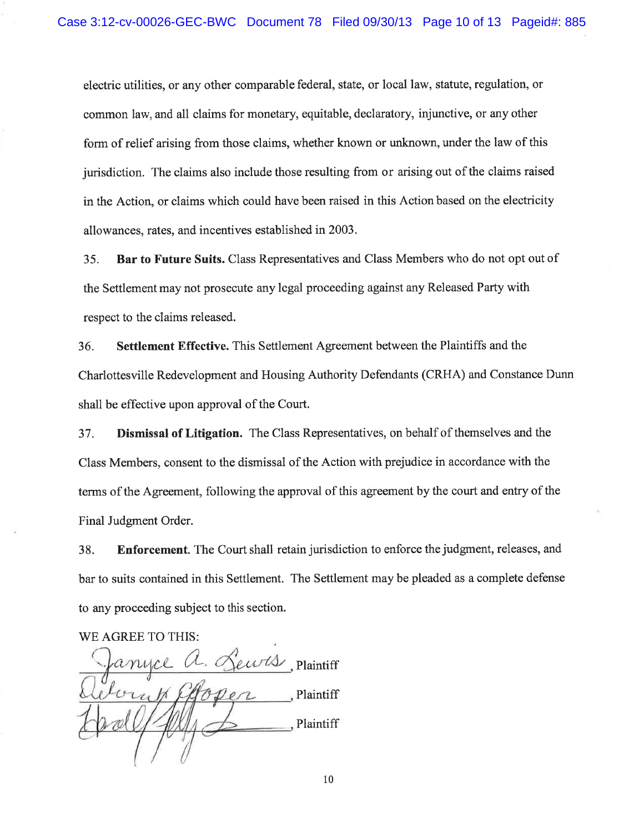electric utilities, or any other comparable federal, state, or local law, statute, regulation, or common law, and all claims for monetary, equitable, declaratory, injunctive, or any other form of relief arising from those claims, whether known or unknown, under the law of this jurisdiction. The claims also include those resulting from or arising out of the claims raised in the Action, or claims which could have been raised in this Action based on the electricity allowances, rates, and incentives established in 2003.

35. **Bar to Future Suits.** Class Representatives and Class Members who do not opt out of the Settlement may not prosecute any legal proceeding against any Released Party with respect to the claims released.

36. **Settlement Effective.** This Settlement Agreement between the Plaintiffs and the Charlottesville Redevelopment and Housing Authority Defendants (CRHA) and Constance Dunn shall be effective upon approval of the Court.

37. Dismissal of Litigation. The Class Representatives, on behalf of themselves and the Class Members, consent to the dismissal of the Action with prejudice in accordance with the terms of the Agreement, following the approval of this agreement by the court and entry of the Final Judgment Order.

38. **Enforcement.** The Court shall retain jurisdiction to enforce the judgment, releases, and bar to suits contained in this Settlement. The Settlement may be pleaded as a complete defense to any proceeding subject to this section.

WE AGREE TO THIS:

ewts, Plaintiff Plaintiff Plaintiff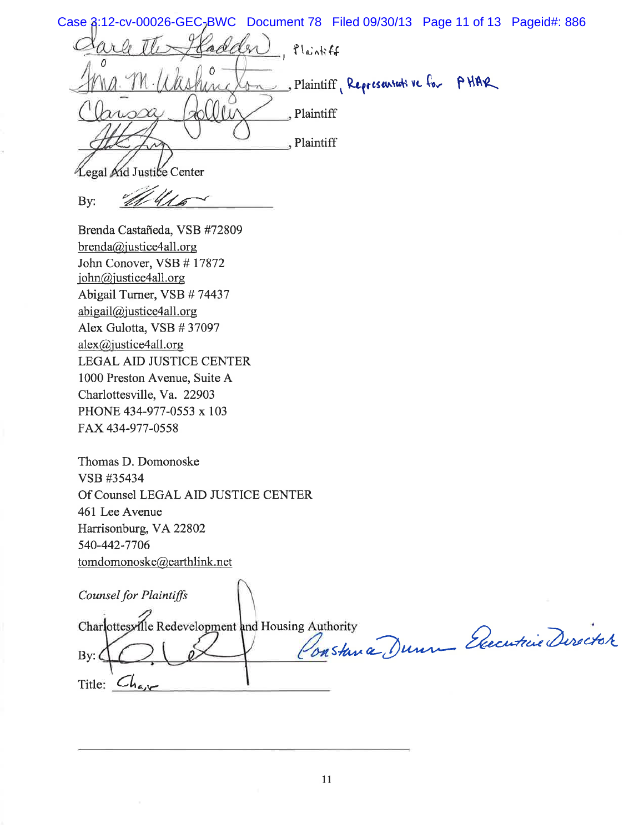Case  $\frac{2!}{12}$ -cv-00026-GEC<sub>7</sub>BWC Document 78 Filed 09/30/13 Page 11 of 13 Pageid#: 886 adder flankff Blaintiff, Representative for PHAR  $+r$  $\theta$ , Plaintiff , Plaintiff

Legal Aid Justice Center

By:

Brenda Castañeda, VSB #72809  $brenda@justice4all.org$ John Conover, VSB #17872 john@justice4all.org Abigail Turner, VSB #74437 abigail@justice4all.org Alex Gulotta, VSB #37097 alex@justice4all.org **LEGAL AID JUSTICE CENTER** 1000 Preston Avenue, Suite A Charlottesville, Va. 22903 PHONE 434-977-0553 x 103 FAX 434-977-0558

Thomas D. Domonoske VSB #35434 Of Counsel LEGAL AID JUSTICE CENTER 461 Lee Avenue Harrisonburg, VA 22802 540-442-7706 tomdomonoske@earthlink.net

Counsel for Plaintiffs

Charlottesville Redevelopment and Housing Authority

Constance Dunne Executive Director

Title:  $Ch_{4,\nu}$ 

By: $\epsilon$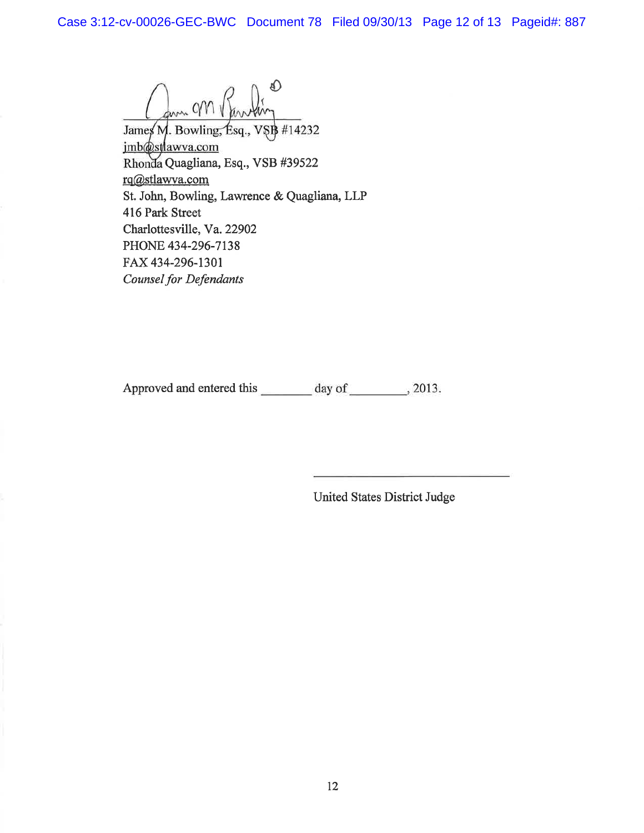form CM

James M. Bowling, Esq., VSB #14232 imb@stlawva.com Rhonda Quagliana, Esq., VSB #39522 rq@stlawva.com St. John, Bowling, Lawrence & Quagliana, LLP 416 Park Street Charlottesville, Va. 22902 PHONE 434-296-7138 FAX 434-296-1301 **Counsel for Defendants** 

Approved and entered this \_\_\_\_\_\_\_ day of \_\_\_\_\_\_\_, 2013.

United States District Judge